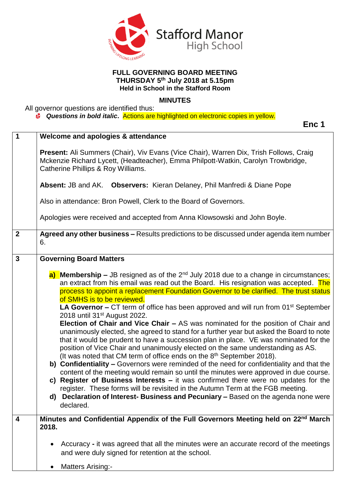

## **FULL GOVERNING BOARD MEETING THURSDAY 5 th July 2018 at 5.15pm Held in School in the Stafford Room**

## **MINUTES**

**Enc 1**

All governor questions are identified thus:

*Questions in bold italic***.** Actions are highlighted on electronic copies in yellow.

| 1                       | Welcome and apologies & attendance                                                                                                                                                                                                                                                                                                                                                                                                                                                                                                                                                                                                                                                                                                                                                                                                                                                                                                                                                                                                                                                                                                                                                                                                                                                                                                                                              |  |  |  |  |
|-------------------------|---------------------------------------------------------------------------------------------------------------------------------------------------------------------------------------------------------------------------------------------------------------------------------------------------------------------------------------------------------------------------------------------------------------------------------------------------------------------------------------------------------------------------------------------------------------------------------------------------------------------------------------------------------------------------------------------------------------------------------------------------------------------------------------------------------------------------------------------------------------------------------------------------------------------------------------------------------------------------------------------------------------------------------------------------------------------------------------------------------------------------------------------------------------------------------------------------------------------------------------------------------------------------------------------------------------------------------------------------------------------------------|--|--|--|--|
|                         | <b>Present:</b> Ali Summers (Chair), Viv Evans (Vice Chair), Warren Dix, Trish Follows, Craig<br>Mckenzie Richard Lycett, (Headteacher), Emma Philpott-Watkin, Carolyn Trowbridge,<br>Catherine Phillips & Roy Williams.                                                                                                                                                                                                                                                                                                                                                                                                                                                                                                                                                                                                                                                                                                                                                                                                                                                                                                                                                                                                                                                                                                                                                        |  |  |  |  |
|                         | Absent: JB and AK. Observers: Kieran Delaney, Phil Manfredi & Diane Pope                                                                                                                                                                                                                                                                                                                                                                                                                                                                                                                                                                                                                                                                                                                                                                                                                                                                                                                                                                                                                                                                                                                                                                                                                                                                                                        |  |  |  |  |
|                         | Also in attendance: Bron Powell, Clerk to the Board of Governors.                                                                                                                                                                                                                                                                                                                                                                                                                                                                                                                                                                                                                                                                                                                                                                                                                                                                                                                                                                                                                                                                                                                                                                                                                                                                                                               |  |  |  |  |
|                         | Apologies were received and accepted from Anna Klowsowski and John Boyle.                                                                                                                                                                                                                                                                                                                                                                                                                                                                                                                                                                                                                                                                                                                                                                                                                                                                                                                                                                                                                                                                                                                                                                                                                                                                                                       |  |  |  |  |
| $\boldsymbol{2}$        | Agreed any other business - Results predictions to be discussed under agenda item number<br>6.                                                                                                                                                                                                                                                                                                                                                                                                                                                                                                                                                                                                                                                                                                                                                                                                                                                                                                                                                                                                                                                                                                                                                                                                                                                                                  |  |  |  |  |
| $\overline{\mathbf{3}}$ | <b>Governing Board Matters</b>                                                                                                                                                                                                                                                                                                                                                                                                                                                                                                                                                                                                                                                                                                                                                                                                                                                                                                                                                                                                                                                                                                                                                                                                                                                                                                                                                  |  |  |  |  |
|                         | a) Membership - JB resigned as of the 2 <sup>nd</sup> July 2018 due to a change in circumstances;<br>an extract from his email was read out the Board. His resignation was accepted. The<br>process to appoint a replacement Foundation Governor to be clarified. The trust status<br>of SMHS is to be reviewed.<br><b>LA Governor –</b> CT term of office has been approved and will run from $01st$ September<br>2018 until 31 <sup>st</sup> August 2022.<br>Election of Chair and Vice Chair - AS was nominated for the position of Chair and<br>unanimously elected, she agreed to stand for a further year but asked the Board to note<br>that it would be prudent to have a succession plan in place. VE was nominated for the<br>position of Vice Chair and unanimously elected on the same understanding as AS.<br>(It was noted that CM term of office ends on the 8 <sup>th</sup> September 2018).<br>b) Confidentiality – Governors were reminded of the need for confidentiality and that the<br>content of the meeting would remain so until the minutes were approved in due course.<br>c) Register of Business Interests $-$ it was confirmed there were no updates for the<br>register. These forms will be revisited in the Autumn Term at the FGB meeting.<br>d) Declaration of Interest- Business and Pecuniary - Based on the agenda none were<br>declared. |  |  |  |  |
| 4                       | Minutes and Confidential Appendix of the Full Governors Meeting held on 22 <sup>nd</sup> March<br>2018.                                                                                                                                                                                                                                                                                                                                                                                                                                                                                                                                                                                                                                                                                                                                                                                                                                                                                                                                                                                                                                                                                                                                                                                                                                                                         |  |  |  |  |
|                         | Accuracy - it was agreed that all the minutes were an accurate record of the meetings<br>$\bullet$<br>and were duly signed for retention at the school.                                                                                                                                                                                                                                                                                                                                                                                                                                                                                                                                                                                                                                                                                                                                                                                                                                                                                                                                                                                                                                                                                                                                                                                                                         |  |  |  |  |
|                         | <b>Matters Arising:-</b>                                                                                                                                                                                                                                                                                                                                                                                                                                                                                                                                                                                                                                                                                                                                                                                                                                                                                                                                                                                                                                                                                                                                                                                                                                                                                                                                                        |  |  |  |  |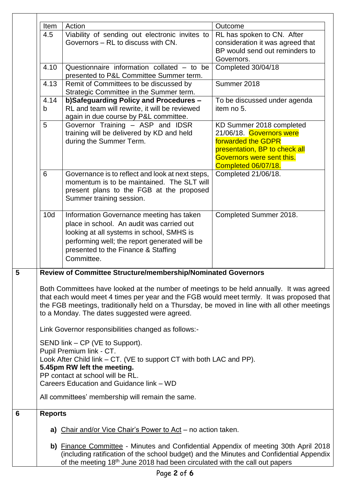| Item | Action                                                                                                                                                                                                                                                                                                                                 | Outcome                          |  |  |  |  |  |
|------|----------------------------------------------------------------------------------------------------------------------------------------------------------------------------------------------------------------------------------------------------------------------------------------------------------------------------------------|----------------------------------|--|--|--|--|--|
| 4.5  | Viability of sending out electronic invites to                                                                                                                                                                                                                                                                                         | RL has spoken to CN. After       |  |  |  |  |  |
|      | Governors - RL to discuss with CN.                                                                                                                                                                                                                                                                                                     | consideration it was agreed that |  |  |  |  |  |
|      |                                                                                                                                                                                                                                                                                                                                        | BP would send out reminders to   |  |  |  |  |  |
|      |                                                                                                                                                                                                                                                                                                                                        | Governors.                       |  |  |  |  |  |
| 4.10 | Questionnaire information collated $-$ to be<br>presented to P&L Committee Summer term.                                                                                                                                                                                                                                                | Completed 30/04/18               |  |  |  |  |  |
| 4.13 | Remit of Committees to be discussed by                                                                                                                                                                                                                                                                                                 | Summer 2018                      |  |  |  |  |  |
|      | Strategic Committee in the Summer term.                                                                                                                                                                                                                                                                                                |                                  |  |  |  |  |  |
| 4.14 | b)Safeguarding Policy and Procedures -                                                                                                                                                                                                                                                                                                 | To be discussed under agenda     |  |  |  |  |  |
| b    | RL and team will rewrite, it will be reviewed                                                                                                                                                                                                                                                                                          | item no 5.                       |  |  |  |  |  |
|      | again in due course by P&L committee.                                                                                                                                                                                                                                                                                                  |                                  |  |  |  |  |  |
| 5    |                                                                                                                                                                                                                                                                                                                                        |                                  |  |  |  |  |  |
|      | Governor Training - ASP and IDSR                                                                                                                                                                                                                                                                                                       | KD Summer 2018 completed         |  |  |  |  |  |
|      | training will be delivered by KD and held                                                                                                                                                                                                                                                                                              | 21/06/18. Governors were         |  |  |  |  |  |
|      | during the Summer Term.                                                                                                                                                                                                                                                                                                                | forwarded the GDPR               |  |  |  |  |  |
|      |                                                                                                                                                                                                                                                                                                                                        | presentation, BP to check all    |  |  |  |  |  |
|      |                                                                                                                                                                                                                                                                                                                                        | Governors were sent this.        |  |  |  |  |  |
|      |                                                                                                                                                                                                                                                                                                                                        | Completed 06/07/18.              |  |  |  |  |  |
| 6    | Governance is to reflect and look at next steps,                                                                                                                                                                                                                                                                                       | Completed 21/06/18.              |  |  |  |  |  |
|      | momentum is to be maintained. The SLT will                                                                                                                                                                                                                                                                                             |                                  |  |  |  |  |  |
|      | present plans to the FGB at the proposed                                                                                                                                                                                                                                                                                               |                                  |  |  |  |  |  |
|      | Summer training session.                                                                                                                                                                                                                                                                                                               |                                  |  |  |  |  |  |
|      |                                                                                                                                                                                                                                                                                                                                        |                                  |  |  |  |  |  |
| 10d  | Information Governance meeting has taken                                                                                                                                                                                                                                                                                               | Completed Summer 2018.           |  |  |  |  |  |
|      | place in school. An audit was carried out                                                                                                                                                                                                                                                                                              |                                  |  |  |  |  |  |
|      | looking at all systems in school, SMHS is                                                                                                                                                                                                                                                                                              |                                  |  |  |  |  |  |
|      | performing well; the report generated will be                                                                                                                                                                                                                                                                                          |                                  |  |  |  |  |  |
|      |                                                                                                                                                                                                                                                                                                                                        |                                  |  |  |  |  |  |
|      | presented to the Finance & Staffing                                                                                                                                                                                                                                                                                                    |                                  |  |  |  |  |  |
|      | Committee.                                                                                                                                                                                                                                                                                                                             |                                  |  |  |  |  |  |
|      | Review of Committee Structure/membership/Nominated Governors                                                                                                                                                                                                                                                                           |                                  |  |  |  |  |  |
|      | Both Committees have looked at the number of meetings to be held annually. It was agreed<br>that each would meet 4 times per year and the FGB would meet termly. It was proposed that<br>the FGB meetings, traditionally held on a Thursday, be moved in line with all other meetings<br>to a Monday. The dates suggested were agreed. |                                  |  |  |  |  |  |
|      | Link Governor responsibilities changed as follows:-                                                                                                                                                                                                                                                                                    |                                  |  |  |  |  |  |
|      | SEND link – CP (VE to Support).                                                                                                                                                                                                                                                                                                        |                                  |  |  |  |  |  |
|      | Pupil Premium link - CT.                                                                                                                                                                                                                                                                                                               |                                  |  |  |  |  |  |
|      | Look After Child link – CT. (VE to support CT with both LAC and PP).                                                                                                                                                                                                                                                                   |                                  |  |  |  |  |  |
|      | 5.45pm RW left the meeting.                                                                                                                                                                                                                                                                                                            |                                  |  |  |  |  |  |
|      | PP contact at school will be RL.                                                                                                                                                                                                                                                                                                       |                                  |  |  |  |  |  |
|      | Careers Education and Guidance link - WD                                                                                                                                                                                                                                                                                               |                                  |  |  |  |  |  |
|      |                                                                                                                                                                                                                                                                                                                                        |                                  |  |  |  |  |  |
|      | All committees' membership will remain the same.                                                                                                                                                                                                                                                                                       |                                  |  |  |  |  |  |
|      | <b>Reports</b>                                                                                                                                                                                                                                                                                                                         |                                  |  |  |  |  |  |
|      | a) Chair and/or Vice Chair's Power to Act - no action taken.                                                                                                                                                                                                                                                                           |                                  |  |  |  |  |  |
|      | b) Finance Committee - Minutes and Confidential Appendix of meeting 30th April 2018<br>(including ratification of the school budget) and the Minutes and Confidential Appendix                                                                                                                                                         |                                  |  |  |  |  |  |
|      | of the meeting 18 <sup>th</sup> June 2018 had been circulated with the call out papers                                                                                                                                                                                                                                                 |                                  |  |  |  |  |  |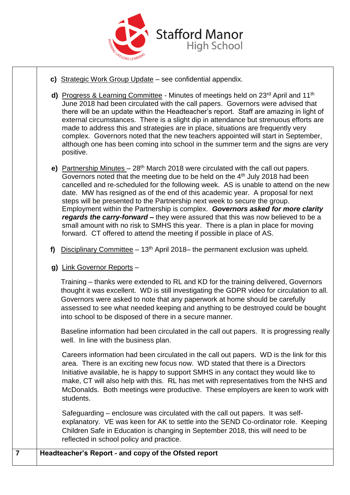

- **c)** Strategic Work Group Update see confidential appendix.
- **d)** Progress & Learning Committee Minutes of meetings held on 23<sup>rd</sup> April and 11<sup>th</sup> June 2018 had been circulated with the call papers. Governors were advised that there will be an update within the Headteacher's report. Staff are amazing in light of external circumstances. There is a slight dip in attendance but strenuous efforts are made to address this and strategies are in place, situations are frequently very complex. Governors noted that the new teachers appointed will start in September, although one has been coming into school in the summer term and the signs are very positive.
- **e)** Partnership Minutes 28th March 2018 were circulated with the call out papers. Governors noted that the meeting due to be held on the  $4<sup>th</sup>$  July 2018 had been cancelled and re-scheduled for the following week. AS is unable to attend on the new date. MW has resigned as of the end of this academic year. A proposal for next steps will be presented to the Partnership next week to secure the group. Employment within the Partnership is complex. *Governors asked for more clarity regards the carry-forward –* they were assured that this was now believed to be a small amount with no risk to SMHS this year. There is a plan in place for moving forward. CT offered to attend the meeting if possible in place of AS.
- **f)** Disciplinary Committee  $-13<sup>th</sup>$  April 2018– the permanent exclusion was upheld.
- **g)** Link Governor Reports –

Training – thanks were extended to RL and KD for the training delivered, Governors thought it was excellent. WD is still investigating the GDPR video for circulation to all. Governors were asked to note that any paperwork at home should be carefully assessed to see what needed keeping and anything to be destroyed could be bought into school to be disposed of there in a secure manner.

Baseline information had been circulated in the call out papers. It is progressing really well. In line with the business plan.

Careers information had been circulated in the call out papers. WD is the link for this area. There is an exciting new focus now. WD stated that there is a Directors Initiative available, he is happy to support SMHS in any contact they would like to make, CT will also help with this. RL has met with representatives from the NHS and McDonalds. Both meetings were productive. These employers are keen to work with students.

Safeguarding – enclosure was circulated with the call out papers. It was selfexplanatory. VE was keen for AK to settle into the SEND Co-ordinator role. Keeping Children Safe in Education is changing in September 2018, this will need to be reflected in school policy and practice.

## **7 Headteacher's Report - and copy of the Ofsted report**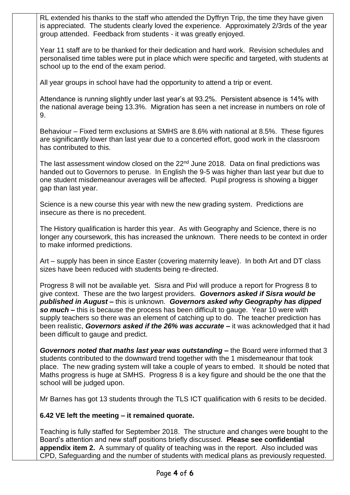RL extended his thanks to the staff who attended the Dyffryn Trip, the time they have given is appreciated. The students clearly loved the experience. Approximately 2/3rds of the year group attended. Feedback from students - it was greatly enjoyed.

Year 11 staff are to be thanked for their dedication and hard work. Revision schedules and personalised time tables were put in place which were specific and targeted, with students at school up to the end of the exam period.

All year groups in school have had the opportunity to attend a trip or event.

Attendance is running slightly under last year's at 93.2%. Persistent absence is 14% with the national average being 13.3%. Migration has seen a net increase in numbers on role of 9.

Behaviour – Fixed term exclusions at SMHS are 8.6% with national at 8.5%. These figures are significantly lower than last year due to a concerted effort, good work in the classroom has contributed to this.

The last assessment window closed on the 22<sup>nd</sup> June 2018. Data on final predictions was handed out to Governors to peruse. In English the 9-5 was higher than last year but due to one student misdemeanour averages will be affected. Pupil progress is showing a bigger gap than last year.

Science is a new course this year with new the new grading system. Predictions are insecure as there is no precedent.

The History qualification is harder this year. As with Geography and Science, there is no longer any coursework, this has increased the unknown. There needs to be context in order to make informed predictions.

Art – supply has been in since Easter (covering maternity leave). In both Art and DT class sizes have been reduced with students being re-directed.

Progress 8 will not be available yet. Sisra and Pixl will produce a report for Progress 8 to give context. These are the two largest providers. *Governors asked if Sisra would be published in August –* this is unknown. *Governors asked why Geography has dipped so much –* this is because the process has been difficult to gauge. Year 10 were with supply teachers so there was an element of catching up to do. The teacher prediction has been realistic, *Governors asked if the 26% was accurate –* it was acknowledged that it had been difficult to gauge and predict.

*Governors noted that maths last year was outstanding –* the Board were informed that 3 students contributed to the downward trend together with the 1 misdemeanour that took place. The new grading system will take a couple of years to embed. It should be noted that Maths progress is huge at SMHS. Progress 8 is a key figure and should be the one that the school will be judged upon.

Mr Barnes has got 13 students through the TLS ICT qualification with 6 resits to be decided.

## **6.42 VE left the meeting – it remained quorate.**

Teaching is fully staffed for September 2018. The structure and changes were bought to the Board's attention and new staff positions briefly discussed. **Please see confidential appendix item 2.** A summary of quality of teaching was in the report. Also included was CPD, Safeguarding and the number of students with medical plans as previously requested.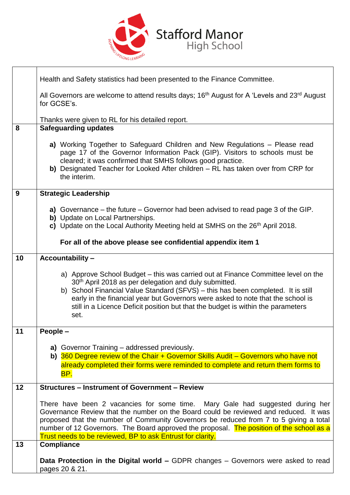

|    | Health and Safety statistics had been presented to the Finance Committee.                                                                                                                                                                                                                                                                                                                                                 |  |  |  |  |
|----|---------------------------------------------------------------------------------------------------------------------------------------------------------------------------------------------------------------------------------------------------------------------------------------------------------------------------------------------------------------------------------------------------------------------------|--|--|--|--|
|    | All Governors are welcome to attend results days; 16 <sup>th</sup> August for A 'Levels and 23 <sup>rd</sup> August<br>for GCSE's.                                                                                                                                                                                                                                                                                        |  |  |  |  |
|    | Thanks were given to RL for his detailed report.                                                                                                                                                                                                                                                                                                                                                                          |  |  |  |  |
| 8  | <b>Safeguarding updates</b>                                                                                                                                                                                                                                                                                                                                                                                               |  |  |  |  |
|    | a) Working Together to Safeguard Children and New Regulations – Please read<br>page 17 of the Governor Information Pack (GIP). Visitors to schools must be<br>cleared; it was confirmed that SMHS follows good practice.<br>b) Designated Teacher for Looked After children – RL has taken over from CRP for<br>the interim.                                                                                              |  |  |  |  |
| 9  | <b>Strategic Leadership</b>                                                                                                                                                                                                                                                                                                                                                                                               |  |  |  |  |
|    | a) Governance – the future – Governor had been advised to read page 3 of the GIP.<br>b) Update on Local Partnerships.                                                                                                                                                                                                                                                                                                     |  |  |  |  |
|    | c) Update on the Local Authority Meeting held at SMHS on the 26 <sup>th</sup> April 2018.                                                                                                                                                                                                                                                                                                                                 |  |  |  |  |
|    | For all of the above please see confidential appendix item 1                                                                                                                                                                                                                                                                                                                                                              |  |  |  |  |
| 10 | <b>Accountability-</b>                                                                                                                                                                                                                                                                                                                                                                                                    |  |  |  |  |
|    | a) Approve School Budget – this was carried out at Finance Committee level on the<br>30 <sup>th</sup> April 2018 as per delegation and duly submitted.<br>b) School Financial Value Standard (SFVS) - this has been completed. It is still<br>early in the financial year but Governors were asked to note that the school is<br>still in a Licence Deficit position but that the budget is within the parameters<br>set. |  |  |  |  |
| 11 | People -                                                                                                                                                                                                                                                                                                                                                                                                                  |  |  |  |  |
|    | a) Governor Training – addressed previously.                                                                                                                                                                                                                                                                                                                                                                              |  |  |  |  |
|    | b) 360 Degree review of the Chair + Governor Skills Audit – Governors who have not<br>already completed their forms were reminded to complete and return them forms to                                                                                                                                                                                                                                                    |  |  |  |  |
|    | <u>BP.</u>                                                                                                                                                                                                                                                                                                                                                                                                                |  |  |  |  |
| 12 | <b>Structures – Instrument of Government – Review</b>                                                                                                                                                                                                                                                                                                                                                                     |  |  |  |  |
|    | There have been 2 vacancies for some time. Mary Gale had suggested during her<br>Governance Review that the number on the Board could be reviewed and reduced. It was<br>proposed that the number of Community Governors be reduced from 7 to 5 giving a total<br>number of 12 Governors. The Board approved the proposal. The position of the school as a<br>Trust needs to be reviewed, BP to ask Entrust for clarity.  |  |  |  |  |
| 13 | <b>Compliance</b>                                                                                                                                                                                                                                                                                                                                                                                                         |  |  |  |  |
|    | Data Protection in the Digital world - GDPR changes - Governors were asked to read<br>pages 20 & 21.                                                                                                                                                                                                                                                                                                                      |  |  |  |  |